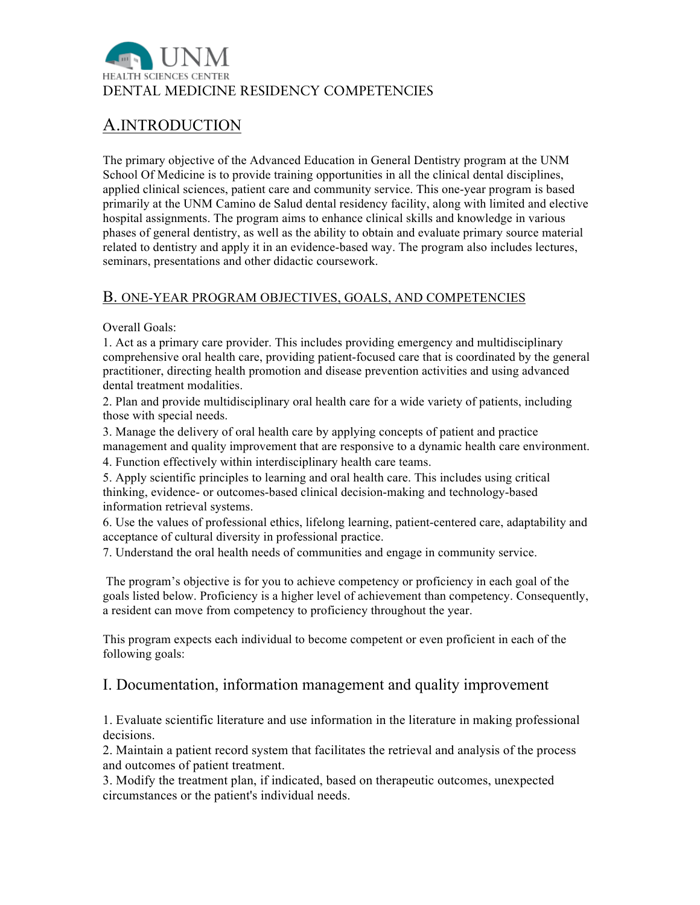

# A.INTRODUCTION

The primary objective of the Advanced Education in General Dentistry program at the UNM School Of Medicine is to provide training opportunities in all the clinical dental disciplines, applied clinical sciences, patient care and community service. This one-year program is based primarily at the UNM Camino de Salud dental residency facility, along with limited and elective hospital assignments. The program aims to enhance clinical skills and knowledge in various phases of general dentistry, as well as the ability to obtain and evaluate primary source material related to dentistry and apply it in an evidence-based way. The program also includes lectures, seminars, presentations and other didactic coursework.

#### B. ONE-YEAR PROGRAM OBJECTIVES, GOALS, AND COMPETENCIES

Overall Goals:

1. Act as a primary care provider. This includes providing emergency and multidisciplinary comprehensive oral health care, providing patient-focused care that is coordinated by the general practitioner, directing health promotion and disease prevention activities and using advanced dental treatment modalities.

2. Plan and provide multidisciplinary oral health care for a wide variety of patients, including those with special needs.

3. Manage the delivery of oral health care by applying concepts of patient and practice management and quality improvement that are responsive to a dynamic health care environment.

4. Function effectively within interdisciplinary health care teams.

5. Apply scientific principles to learning and oral health care. This includes using critical thinking, evidence- or outcomes-based clinical decision-making and technology-based information retrieval systems.

6. Use the values of professional ethics, lifelong learning, patient-centered care, adaptability and acceptance of cultural diversity in professional practice.

7. Understand the oral health needs of communities and engage in community service.

The program's objective is for you to achieve competency or proficiency in each goal of the goals listed below. Proficiency is a higher level of achievement than competency. Consequently, a resident can move from competency to proficiency throughout the year.

This program expects each individual to become competent or even proficient in each of the following goals:

#### I. Documentation, information management and quality improvement

1. Evaluate scientific literature and use information in the literature in making professional decisions.

2. Maintain a patient record system that facilitates the retrieval and analysis of the process and outcomes of patient treatment.

3. Modify the treatment plan, if indicated, based on therapeutic outcomes, unexpected circumstances or the patient's individual needs.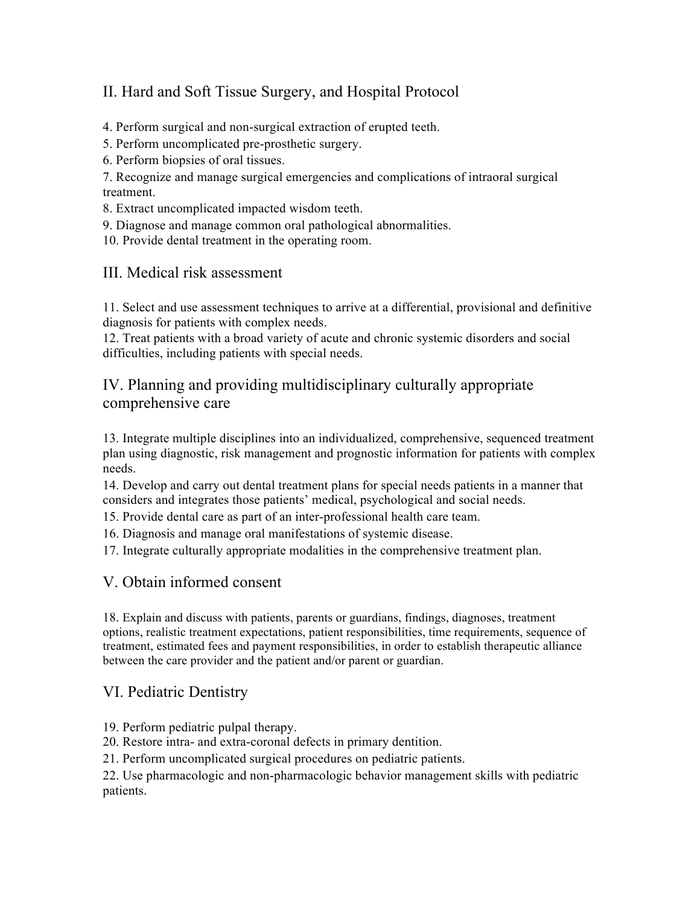# II. Hard and Soft Tissue Surgery, and Hospital Protocol

4. Perform surgical and non-surgical extraction of erupted teeth.

5. Perform uncomplicated pre-prosthetic surgery.

6. Perform biopsies of oral tissues.

7. Recognize and manage surgical emergencies and complications of intraoral surgical treatment.

8. Extract uncomplicated impacted wisdom teeth.

9. Diagnose and manage common oral pathological abnormalities.

10. Provide dental treatment in the operating room.

#### III. Medical risk assessment

11. Select and use assessment techniques to arrive at a differential, provisional and definitive diagnosis for patients with complex needs.

12. Treat patients with a broad variety of acute and chronic systemic disorders and social difficulties, including patients with special needs.

#### IV. Planning and providing multidisciplinary culturally appropriate comprehensive care

13. Integrate multiple disciplines into an individualized, comprehensive, sequenced treatment plan using diagnostic, risk management and prognostic information for patients with complex needs.

14. Develop and carry out dental treatment plans for special needs patients in a manner that considers and integrates those patients' medical, psychological and social needs.

15. Provide dental care as part of an inter-professional health care team.

16. Diagnosis and manage oral manifestations of systemic disease.

17. Integrate culturally appropriate modalities in the comprehensive treatment plan.

#### V. Obtain informed consent

18. Explain and discuss with patients, parents or guardians, findings, diagnoses, treatment options, realistic treatment expectations, patient responsibilities, time requirements, sequence of treatment, estimated fees and payment responsibilities, in order to establish therapeutic alliance between the care provider and the patient and/or parent or guardian.

#### VI. Pediatric Dentistry

19. Perform pediatric pulpal therapy.

20. Restore intra- and extra-coronal defects in primary dentition.

21. Perform uncomplicated surgical procedures on pediatric patients.

22. Use pharmacologic and non-pharmacologic behavior management skills with pediatric patients.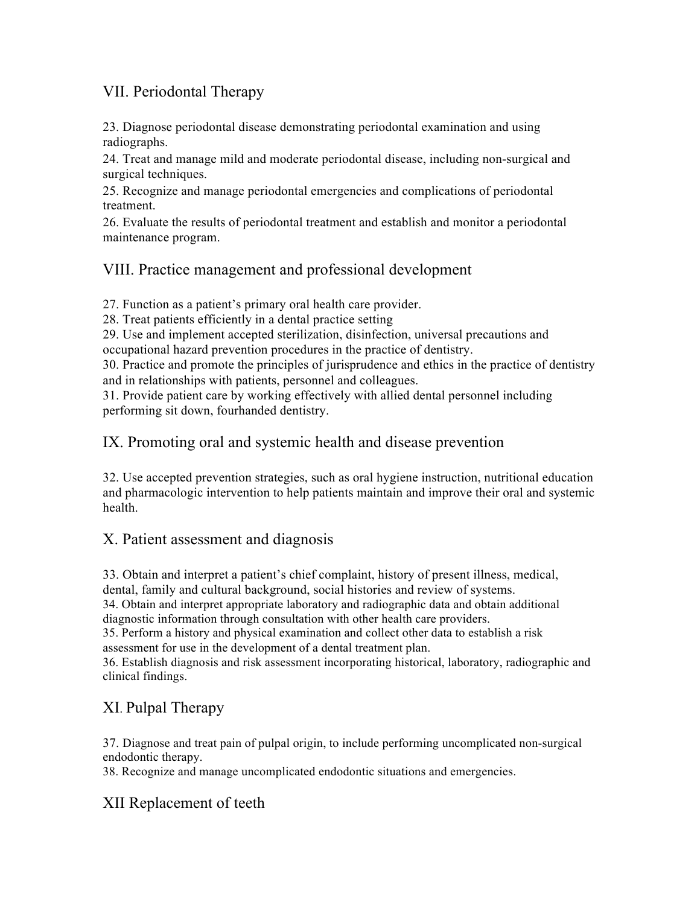#### VII. Periodontal Therapy

23. Diagnose periodontal disease demonstrating periodontal examination and using radiographs.

24. Treat and manage mild and moderate periodontal disease, including non-surgical and surgical techniques.

25. Recognize and manage periodontal emergencies and complications of periodontal treatment.

26. Evaluate the results of periodontal treatment and establish and monitor a periodontal maintenance program.

## VIII. Practice management and professional development

27. Function as a patient's primary oral health care provider.

28. Treat patients efficiently in a dental practice setting

29. Use and implement accepted sterilization, disinfection, universal precautions and occupational hazard prevention procedures in the practice of dentistry.

30. Practice and promote the principles of jurisprudence and ethics in the practice of dentistry and in relationships with patients, personnel and colleagues.

31. Provide patient care by working effectively with allied dental personnel including performing sit down, fourhanded dentistry.

## IX. Promoting oral and systemic health and disease prevention

32. Use accepted prevention strategies, such as oral hygiene instruction, nutritional education and pharmacologic intervention to help patients maintain and improve their oral and systemic health.

#### X. Patient assessment and diagnosis

33. Obtain and interpret a patient's chief complaint, history of present illness, medical, dental, family and cultural background, social histories and review of systems. 34. Obtain and interpret appropriate laboratory and radiographic data and obtain additional diagnostic information through consultation with other health care providers. 35. Perform a history and physical examination and collect other data to establish a risk assessment for use in the development of a dental treatment plan. 36. Establish diagnosis and risk assessment incorporating historical, laboratory, radiographic and clinical findings.

# XI. Pulpal Therapy

37. Diagnose and treat pain of pulpal origin, to include performing uncomplicated non-surgical endodontic therapy.

38. Recognize and manage uncomplicated endodontic situations and emergencies.

# XII Replacement of teeth